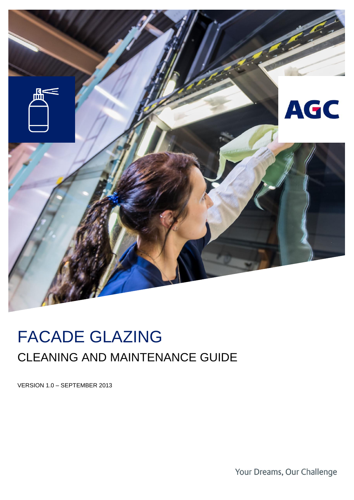

# FACADE GLAZING CLEANING AND MAINTENANCE GUIDE

VERSION 1.0 – SEPTEMBER 2013

Your Dreams, Our Challenge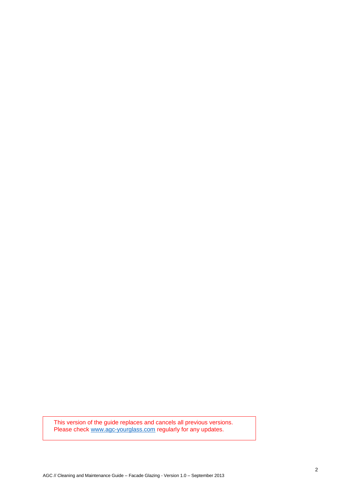This version of the guide replaces and cancels all previous versions. Please check [www.agc-yourglass.com](http://www.agc-yourglass.com/) regularly for any updates.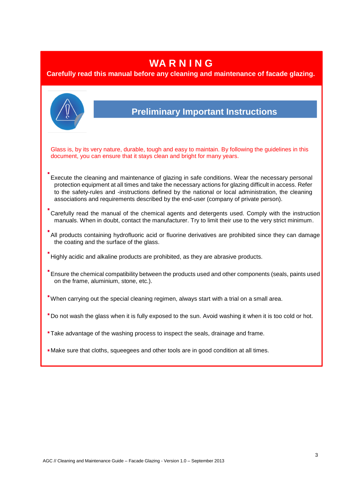### **WA R N I N G**

#### **Carefully read this manual before any cleaning and maintenance of facade glazing.**

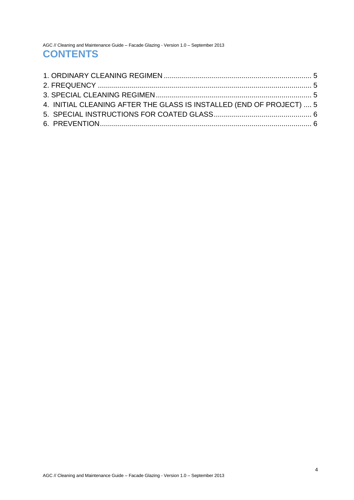AGC // Cleaning and Maintenance Guide – Facade Glazing - Version 1.0 – September 2013 **CONTENTS** 

| 4. INITIAL CLEANING AFTER THE GLASS IS INSTALLED (END OF PROJECT)  5 |  |
|----------------------------------------------------------------------|--|
|                                                                      |  |
|                                                                      |  |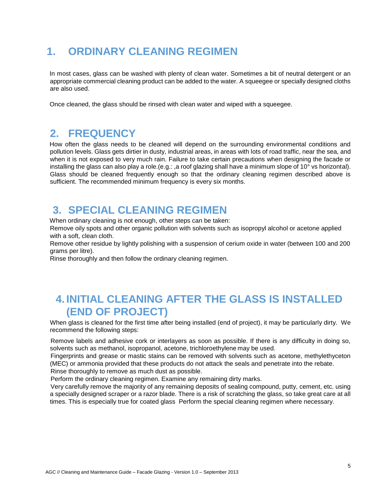### **1. ORDINARY CLEANING REGIMEN**

<span id="page-4-0"></span>In most cases, glass can be washed with plenty of clean water. Sometimes a bit of neutral detergent or an appropriate commercial cleaning product can be added to the water. A squeegee or specially designed cloths are also used.

Once cleaned, the glass should be rinsed with clean water and wiped with a squeegee.

#### **2. FREQUENCY**

<span id="page-4-1"></span>How often the glass needs to be cleaned will depend on the surrounding environmental conditions and pollution levels. Glass gets dirtier in dusty, industrial areas, in areas with lots of road traffic, near the sea, and when it is not exposed to very much rain. Failure to take certain precautions when designing the facade or installing the glass can also play a role.(e.g.: ,a roof glazing shall have a minimum slope of 10° vs horizontal). Glass should be cleaned frequently enough so that the ordinary cleaning regimen described above is sufficient. The recommended minimum frequency is every six months.

#### **3. SPECIAL CLEANING REGIMEN**

When ordinary cleaning is not enough, other steps can be taken:

Remove oily spots and other organic pollution with solvents such as isopropyl alcohol or acetone applied with a soft, clean cloth.

<span id="page-4-2"></span>Remove other residue by lightly polishing with a suspension of cerium oxide in water (between 100 and 200 grams per litre).

Rinse thoroughly and then follow the ordinary cleaning regimen.

### **4. INITIAL CLEANING AFTER THE GLASS IS INSTALLED (END OF PROJECT)**

<span id="page-4-3"></span>When glass is cleaned for the first time after being installed (end of project), it may be particularly dirty. We recommend the following steps:

Remove labels and adhesive cork or interlayers as soon as possible. If there is any difficulty in doing so, solvents such as methanol, isopropanol, acetone, trichloroethylene may be used.

Fingerprints and grease or mastic stains can be removed with solvents such as acetone, methylethyceton (MEC) or ammonia provided that these products do not attack the seals and penetrate into the rebate.

Rinse thoroughly to remove as much dust as possible.

Perform the ordinary cleaning regimen. Examine any remaining dirty marks.

Very carefully remove the majority of any remaining deposits of sealing compound, putty, cement, etc. using a specially designed scraper or a razor blade. There is a risk of scratching the glass, so take great care at all times. This is especially true for coated glass Perform the special cleaning regimen where necessary.